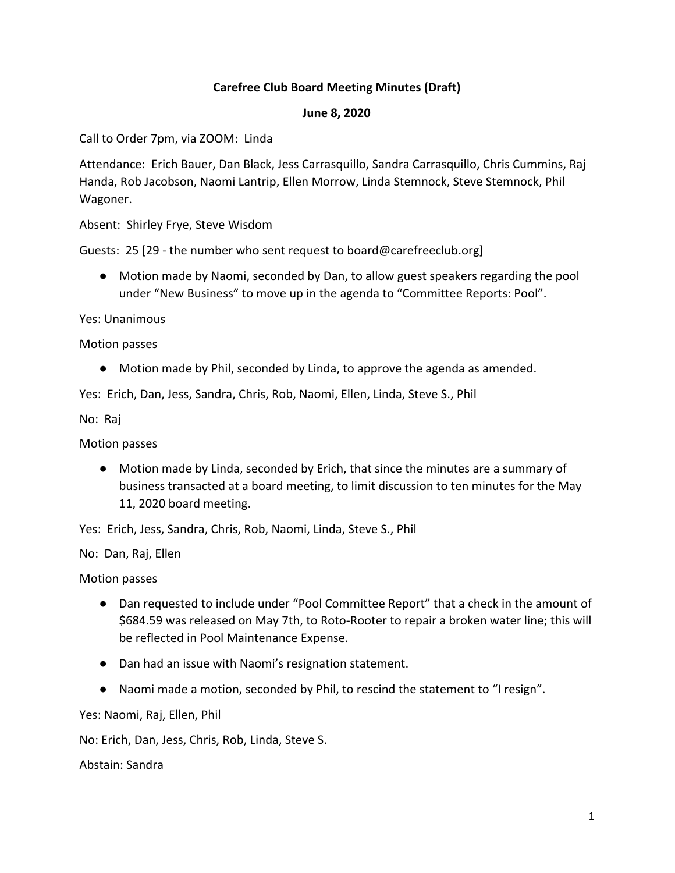# **Carefree Club Board Meeting Minutes (Draft)**

#### **June 8, 2020**

Call to Order 7pm, via ZOOM: Linda

Attendance: Erich Bauer, Dan Black, Jess Carrasquillo, Sandra Carrasquillo, Chris Cummins, Raj Handa, Rob Jacobson, Naomi Lantrip, Ellen Morrow, Linda Stemnock, Steve Stemnock, Phil Wagoner.

Absent: Shirley Frye, Steve Wisdom

Guests: 25 [29 - the number who sent request to board@carefreeclub.org]

● Motion made by Naomi, seconded by Dan, to allow guest speakers regarding the pool under "New Business" to move up in the agenda to "Committee Reports: Pool".

Yes: Unanimous

Motion passes

● Motion made by Phil, seconded by Linda, to approve the agenda as amended.

Yes: Erich, Dan, Jess, Sandra, Chris, Rob, Naomi, Ellen, Linda, Steve S., Phil

No: Raj

Motion passes

● Motion made by Linda, seconded by Erich, that since the minutes are a summary of business transacted at a board meeting, to limit discussion to ten minutes for the May 11, 2020 board meeting.

Yes: Erich, Jess, Sandra, Chris, Rob, Naomi, Linda, Steve S., Phil

No: Dan, Raj, Ellen

Motion passes

- Dan requested to include under "Pool Committee Report" that a check in the amount of \$684.59 was released on May 7th, to Roto-Rooter to repair a broken water line; this will be reflected in Pool Maintenance Expense.
- Dan had an issue with Naomi's resignation statement.
- Naomi made a motion, seconded by Phil, to rescind the statement to "I resign".

Yes: Naomi, Raj, Ellen, Phil

No: Erich, Dan, Jess, Chris, Rob, Linda, Steve S.

Abstain: Sandra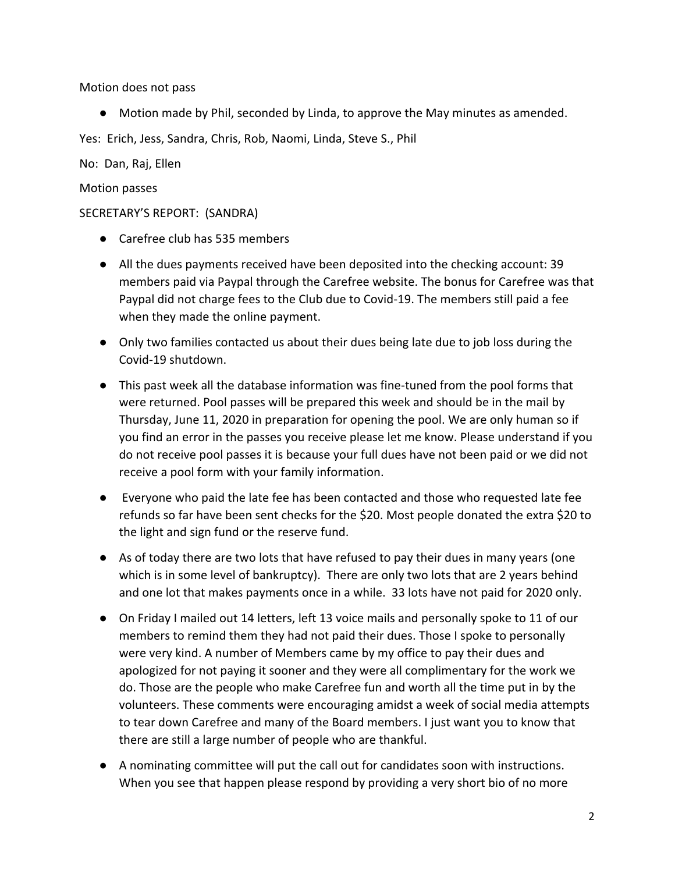Motion does not pass

● Motion made by Phil, seconded by Linda, to approve the May minutes as amended.

Yes: Erich, Jess, Sandra, Chris, Rob, Naomi, Linda, Steve S., Phil

No: Dan, Raj, Ellen

### Motion passes

### SECRETARY'S REPORT: (SANDRA)

- Carefree club has 535 members
- All the dues payments received have been deposited into the checking account: 39 members paid via Paypal through the Carefree website. The bonus for Carefree was that Paypal did not charge fees to the Club due to Covid-19. The members still paid a fee when they made the online payment.
- Only two families contacted us about their dues being late due to job loss during the Covid-19 shutdown.
- This past week all the database information was fine-tuned from the pool forms that were returned. Pool passes will be prepared this week and should be in the mail by Thursday, June 11, 2020 in preparation for opening the pool. We are only human so if you find an error in the passes you receive please let me know. Please understand if you do not receive pool passes it is because your full dues have not been paid or we did not receive a pool form with your family information.
- Everyone who paid the late fee has been contacted and those who requested late fee refunds so far have been sent checks for the \$20. Most people donated the extra \$20 to the light and sign fund or the reserve fund.
- As of today there are two lots that have refused to pay their dues in many years (one which is in some level of bankruptcy). There are only two lots that are 2 years behind and one lot that makes payments once in a while. 33 lots have not paid for 2020 only.
- On Friday I mailed out 14 letters, left 13 voice mails and personally spoke to 11 of our members to remind them they had not paid their dues. Those I spoke to personally were very kind. A number of Members came by my office to pay their dues and apologized for not paying it sooner and they were all complimentary for the work we do. Those are the people who make Carefree fun and worth all the time put in by the volunteers. These comments were encouraging amidst a week of social media attempts to tear down Carefree and many of the Board members. I just want you to know that there are still a large number of people who are thankful.
- A nominating committee will put the call out for candidates soon with instructions. When you see that happen please respond by providing a very short bio of no more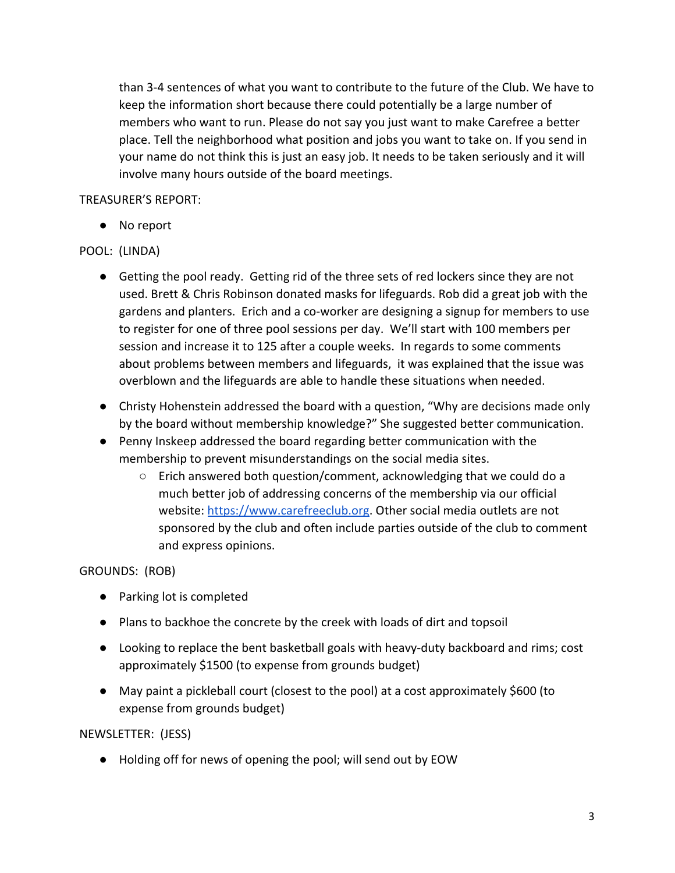than 3-4 sentences of what you want to contribute to the future of the Club. We have to keep the information short because there could potentially be a large number of members who want to run. Please do not say you just want to make Carefree a better place. Tell the neighborhood what position and jobs you want to take on. If you send in your name do not think this is just an easy job. It needs to be taken seriously and it will involve many hours outside of the board meetings.

# TREASURER'S REPORT:

● No report

# POOL: (LINDA)

- Getting the pool ready. Getting rid of the three sets of red lockers since they are not used. Brett & Chris Robinson donated masks for lifeguards. Rob did a great job with the gardens and planters. Erich and a co-worker are designing a signup for members to use to register for one of three pool sessions per day. We'll start with 100 members per session and increase it to 125 after a couple weeks. In regards to some comments about problems between members and lifeguards, it was explained that the issue was overblown and the lifeguards are able to handle these situations when needed.
- Christy Hohenstein addressed the board with a question, "Why are decisions made only by the board without membership knowledge?" She suggested better communication.
- Penny Inskeep addressed the board regarding better communication with the membership to prevent misunderstandings on the social media sites.
	- Erich answered both question/comment, acknowledging that we could do a much better job of addressing concerns of the membership via our official website: https://www.carefreeclub.org. Other social media outlets are not sponsored by the club and often include parties outside of the club to comment and express opinions.

## GROUNDS: (ROB)

- Parking lot is completed
- Plans to backhoe the concrete by the creek with loads of dirt and topsoil
- Looking to replace the bent basketball goals with heavy-duty backboard and rims; cost approximately \$1500 (to expense from grounds budget)
- May paint a pickleball court (closest to the pool) at a cost approximately \$600 (to expense from grounds budget)

## NEWSLETTER: (JESS)

● Holding off for news of opening the pool; will send out by EOW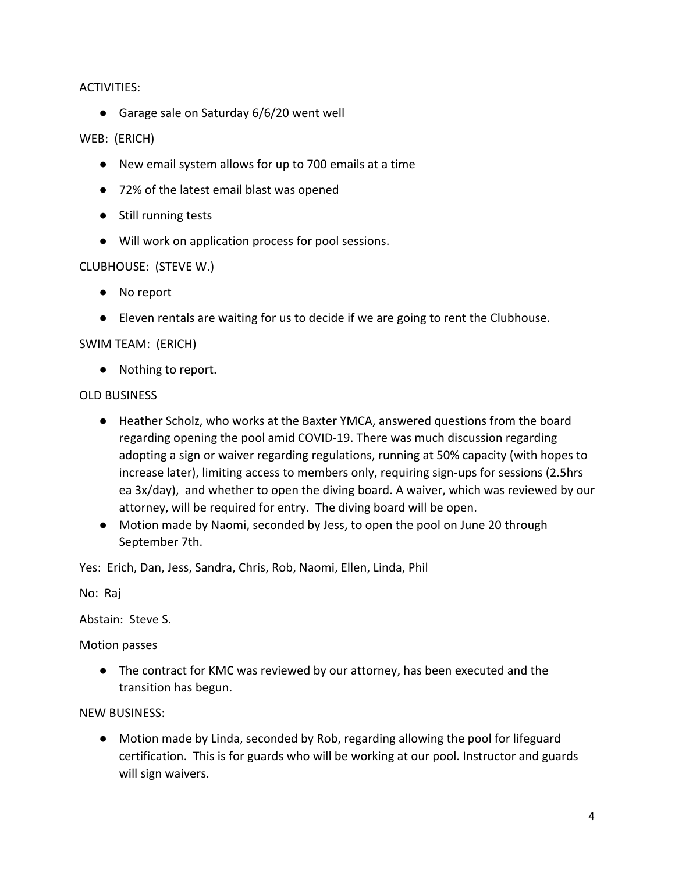### ACTIVITIES:

● Garage sale on Saturday 6/6/20 went well

### WEB: (ERICH)

- New email system allows for up to 700 emails at a time
- 72% of the latest email blast was opened
- Still running tests
- Will work on application process for pool sessions.

### CLUBHOUSE: (STEVE W.)

- No report
- Eleven rentals are waiting for us to decide if we are going to rent the Clubhouse.

### SWIM TEAM: (ERICH)

● Nothing to report.

#### OLD BUSINESS

- Heather Scholz, who works at the Baxter YMCA, answered questions from the board regarding opening the pool amid COVID-19. There was much discussion regarding adopting a sign or waiver regarding regulations, running at 50% capacity (with hopes to increase later), limiting access to members only, requiring sign-ups for sessions (2.5hrs ea 3x/day), and whether to open the diving board. A waiver, which was reviewed by our attorney, will be required for entry. The diving board will be open.
- Motion made by Naomi, seconded by Jess, to open the pool on June 20 through September 7th.

Yes: Erich, Dan, Jess, Sandra, Chris, Rob, Naomi, Ellen, Linda, Phil

No: Raj

Abstain: Steve S.

Motion passes

● The contract for KMC was reviewed by our attorney, has been executed and the transition has begun.

NEW BUSINESS:

● Motion made by Linda, seconded by Rob, regarding allowing the pool for lifeguard certification. This is for guards who will be working at our pool. Instructor and guards will sign waivers.